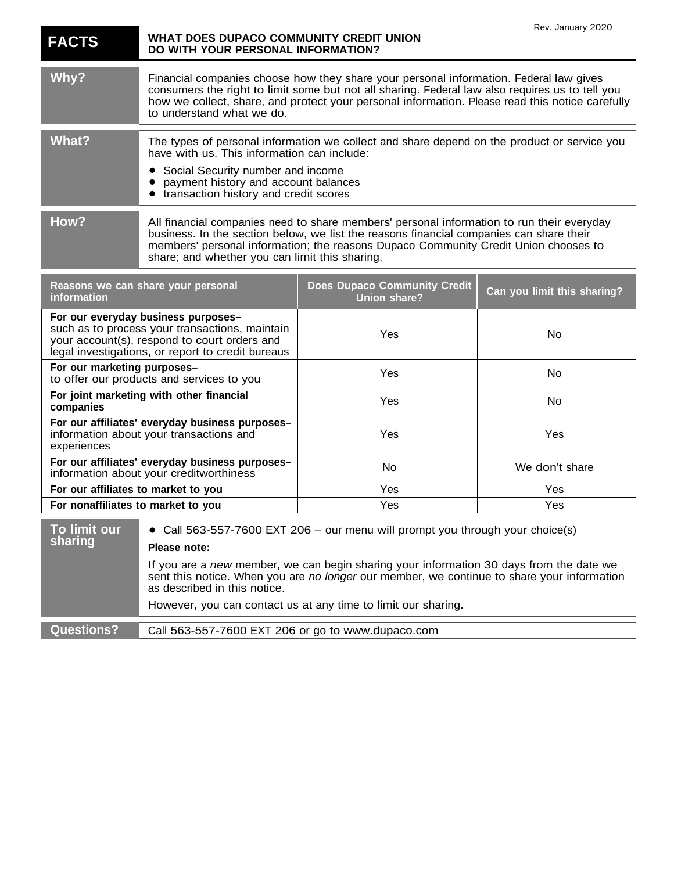| <b>FACTS</b>                                                                                                                                                                               | WHAT DOES DUPACO COMMUNITY CREDIT UNION<br>DO WITH YOUR PERSONAL INFORMATION?                                                                                                                                                                                                                                                                                                         |                                                            | Rev. January 2020           |
|--------------------------------------------------------------------------------------------------------------------------------------------------------------------------------------------|---------------------------------------------------------------------------------------------------------------------------------------------------------------------------------------------------------------------------------------------------------------------------------------------------------------------------------------------------------------------------------------|------------------------------------------------------------|-----------------------------|
| Why?                                                                                                                                                                                       | Financial companies choose how they share your personal information. Federal law gives<br>consumers the right to limit some but not all sharing. Federal law also requires us to tell you<br>how we collect, share, and protect your personal information. Please read this notice carefully<br>to understand what we do.                                                             |                                                            |                             |
| <b>What?</b>                                                                                                                                                                               | The types of personal information we collect and share depend on the product or service you<br>have with us. This information can include:<br>Social Security number and income<br>$\bullet$<br>payment history and account balances<br>transaction history and credit scores                                                                                                         |                                                            |                             |
| How?                                                                                                                                                                                       | All financial companies need to share members' personal information to run their everyday<br>business. In the section below, we list the reasons financial companies can share their<br>members' personal information; the reasons Dupaco Community Credit Union chooses to<br>share; and whether you can limit this sharing.                                                         |                                                            |                             |
| Reasons we can share your personal<br>information                                                                                                                                          |                                                                                                                                                                                                                                                                                                                                                                                       | <b>Does Dupaco Community Credit</b><br><b>Union share?</b> | Can you limit this sharing? |
| For our everyday business purposes-<br>such as to process your transactions, maintain<br>your account(s), respond to court orders and<br>legal investigations, or report to credit bureaus |                                                                                                                                                                                                                                                                                                                                                                                       | Yes                                                        | No                          |
| For our marketing purposes-<br>to offer our products and services to you                                                                                                                   |                                                                                                                                                                                                                                                                                                                                                                                       | Yes                                                        | No                          |
| For joint marketing with other financial<br>companies                                                                                                                                      |                                                                                                                                                                                                                                                                                                                                                                                       | Yes                                                        | No                          |
| For our affiliates' everyday business purposes-<br>information about your transactions and<br>experiences                                                                                  |                                                                                                                                                                                                                                                                                                                                                                                       | Yes                                                        | Yes                         |
| For our affiliates' everyday business purposes-<br>information about your creditworthiness                                                                                                 |                                                                                                                                                                                                                                                                                                                                                                                       | No                                                         | We don't share              |
| For our affiliates to market to you                                                                                                                                                        |                                                                                                                                                                                                                                                                                                                                                                                       | Yes                                                        | Yes                         |
| For nonaffiliates to market to you                                                                                                                                                         |                                                                                                                                                                                                                                                                                                                                                                                       | Yes                                                        | Yes                         |
| To limit our<br>sharing                                                                                                                                                                    | Call 563-557-7600 EXT 206 - our menu will prompt you through your choice(s)<br>Please note:<br>If you are a new member, we can begin sharing your information 30 days from the date we<br>sent this notice. When you are no longer our member, we continue to share your information<br>as described in this notice.<br>However, you can contact us at any time to limit our sharing. |                                                            |                             |
| <b>Questions?</b>                                                                                                                                                                          | Call 563-557-7600 EXT 206 or go to www.dupaco.com                                                                                                                                                                                                                                                                                                                                     |                                                            |                             |